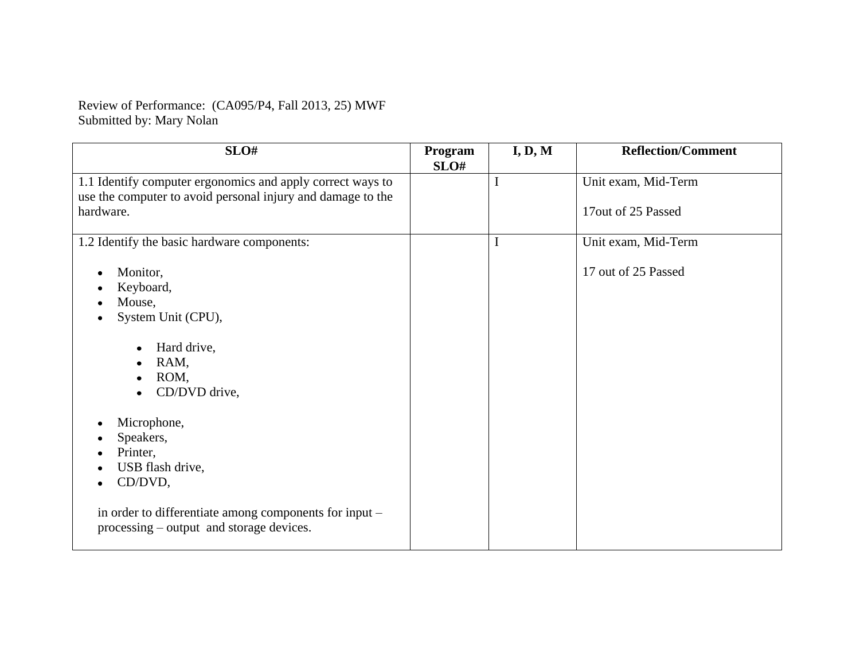Review of Performance: (CA095/P4, Fall 2013, 25) MWF Submitted by: Mary Nolan

| SLO#                                                                                                                                                                      | Program<br>SLO# | I, D, M | <b>Reflection/Comment</b>                 |
|---------------------------------------------------------------------------------------------------------------------------------------------------------------------------|-----------------|---------|-------------------------------------------|
| 1.1 Identify computer ergonomics and apply correct ways to<br>use the computer to avoid personal injury and damage to the<br>hardware.                                    |                 |         | Unit exam, Mid-Term<br>17out of 25 Passed |
| 1.2 Identify the basic hardware components:                                                                                                                               |                 | I       | Unit exam, Mid-Term                       |
| Monitor,<br>Keyboard,<br>Mouse,<br>System Unit (CPU),<br>Hard drive,<br>RAM,<br>$\bullet$<br>ROM,<br>$\bullet$<br>CD/DVD drive,                                           |                 |         | 17 out of 25 Passed                       |
| Microphone,<br>Speakers,<br>Printer,<br>USB flash drive,<br>CD/DVD,<br>in order to differentiate among components for input -<br>processing – output and storage devices. |                 |         |                                           |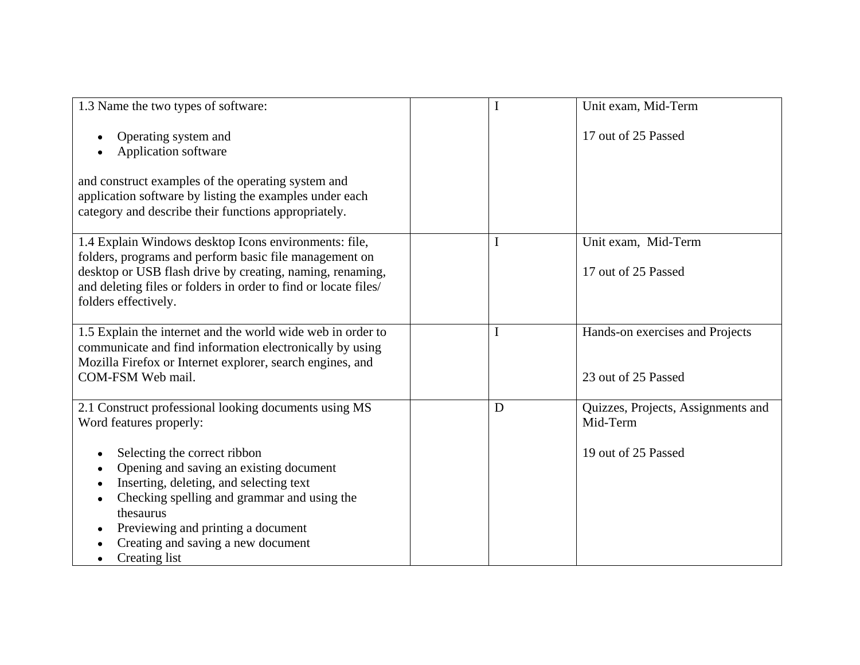| 1.3 Name the two types of software:                                                                                                                                                                                                                                         |   | Unit exam, Mid-Term                                    |
|-----------------------------------------------------------------------------------------------------------------------------------------------------------------------------------------------------------------------------------------------------------------------------|---|--------------------------------------------------------|
| Operating system and<br>Application software                                                                                                                                                                                                                                |   | 17 out of 25 Passed                                    |
| and construct examples of the operating system and<br>application software by listing the examples under each<br>category and describe their functions appropriately.                                                                                                       |   |                                                        |
| 1.4 Explain Windows desktop Icons environments: file,<br>folders, programs and perform basic file management on<br>desktop or USB flash drive by creating, naming, renaming,<br>and deleting files or folders in order to find or locate files/<br>folders effectively.     |   | Unit exam, Mid-Term<br>17 out of 25 Passed             |
| 1.5 Explain the internet and the world wide web in order to<br>communicate and find information electronically by using<br>Mozilla Firefox or Internet explorer, search engines, and<br>COM-FSM Web mail.                                                                   |   | Hands-on exercises and Projects<br>23 out of 25 Passed |
| 2.1 Construct professional looking documents using MS<br>Word features properly:                                                                                                                                                                                            | D | Quizzes, Projects, Assignments and<br>Mid-Term         |
| Selecting the correct ribbon<br>Opening and saving an existing document<br>Inserting, deleting, and selecting text<br>Checking spelling and grammar and using the<br>thesaurus<br>Previewing and printing a document<br>Creating and saving a new document<br>Creating list |   | 19 out of 25 Passed                                    |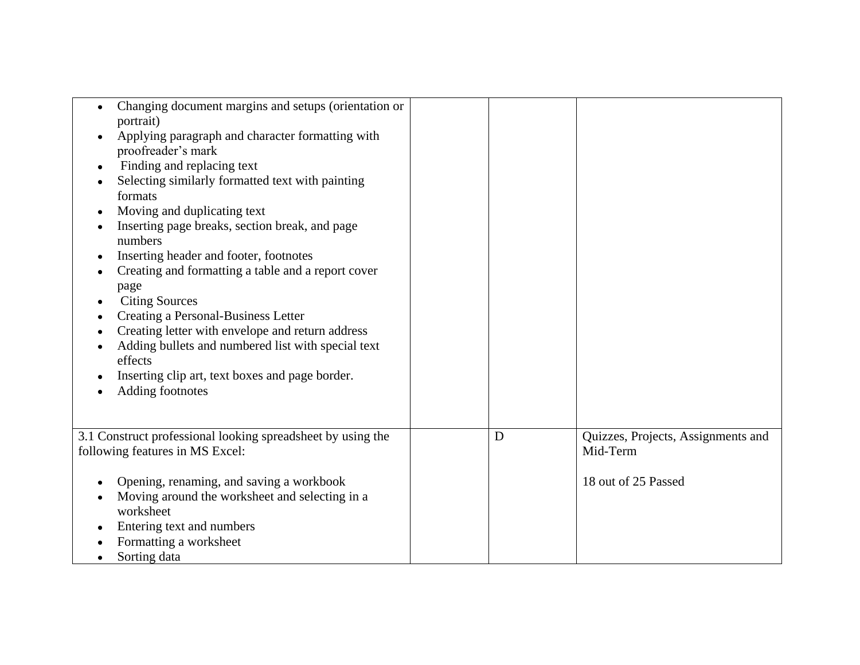| Changing document margins and setups (orientation or<br>portrait)<br>Applying paragraph and character formatting with<br>proofreader's mark<br>Finding and replacing text<br>٠<br>Selecting similarly formatted text with painting<br>formats<br>Moving and duplicating text<br>٠<br>Inserting page breaks, section break, and page<br>numbers<br>Inserting header and footer, footnotes<br>Creating and formatting a table and a report cover<br>page<br><b>Citing Sources</b><br>Creating a Personal-Business Letter<br>Creating letter with envelope and return address<br>Adding bullets and numbered list with special text<br>effects<br>Inserting clip art, text boxes and page border.<br>Adding footnotes |   |                                                                       |
|--------------------------------------------------------------------------------------------------------------------------------------------------------------------------------------------------------------------------------------------------------------------------------------------------------------------------------------------------------------------------------------------------------------------------------------------------------------------------------------------------------------------------------------------------------------------------------------------------------------------------------------------------------------------------------------------------------------------|---|-----------------------------------------------------------------------|
| 3.1 Construct professional looking spreadsheet by using the<br>following features in MS Excel:<br>Opening, renaming, and saving a workbook<br>Moving around the worksheet and selecting in a<br>worksheet<br>Entering text and numbers<br>Formatting a worksheet<br>Sorting data                                                                                                                                                                                                                                                                                                                                                                                                                                   | D | Quizzes, Projects, Assignments and<br>Mid-Term<br>18 out of 25 Passed |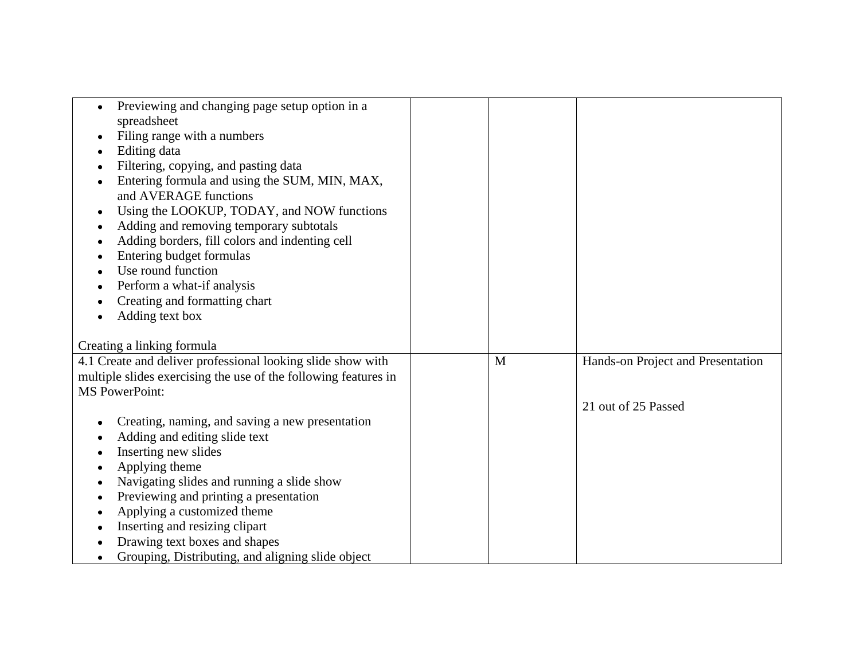| Previewing and changing page setup option in a<br>$\bullet$     |   |                                   |
|-----------------------------------------------------------------|---|-----------------------------------|
| spreadsheet                                                     |   |                                   |
| Filing range with a numbers<br>٠                                |   |                                   |
| Editing data                                                    |   |                                   |
| Filtering, copying, and pasting data                            |   |                                   |
| Entering formula and using the SUM, MIN, MAX,<br>٠              |   |                                   |
| and AVERAGE functions                                           |   |                                   |
| Using the LOOKUP, TODAY, and NOW functions<br>$\bullet$         |   |                                   |
| Adding and removing temporary subtotals<br>٠                    |   |                                   |
| Adding borders, fill colors and indenting cell                  |   |                                   |
| Entering budget formulas                                        |   |                                   |
| Use round function                                              |   |                                   |
| Perform a what-if analysis                                      |   |                                   |
| Creating and formatting chart                                   |   |                                   |
| Adding text box<br>٠                                            |   |                                   |
|                                                                 |   |                                   |
| Creating a linking formula                                      |   |                                   |
| 4.1 Create and deliver professional looking slide show with     | M | Hands-on Project and Presentation |
| multiple slides exercising the use of the following features in |   |                                   |
| <b>MS</b> PowerPoint:                                           |   |                                   |
|                                                                 |   | 21 out of 25 Passed               |
| Creating, naming, and saving a new presentation<br>٠            |   |                                   |
| Adding and editing slide text                                   |   |                                   |
| Inserting new slides                                            |   |                                   |
| Applying theme                                                  |   |                                   |
| Navigating slides and running a slide show<br>٠                 |   |                                   |
| Previewing and printing a presentation<br>٠                     |   |                                   |
| Applying a customized theme                                     |   |                                   |
| Inserting and resizing clipart                                  |   |                                   |
| Drawing text boxes and shapes                                   |   |                                   |
| Grouping, Distributing, and aligning slide object<br>٠          |   |                                   |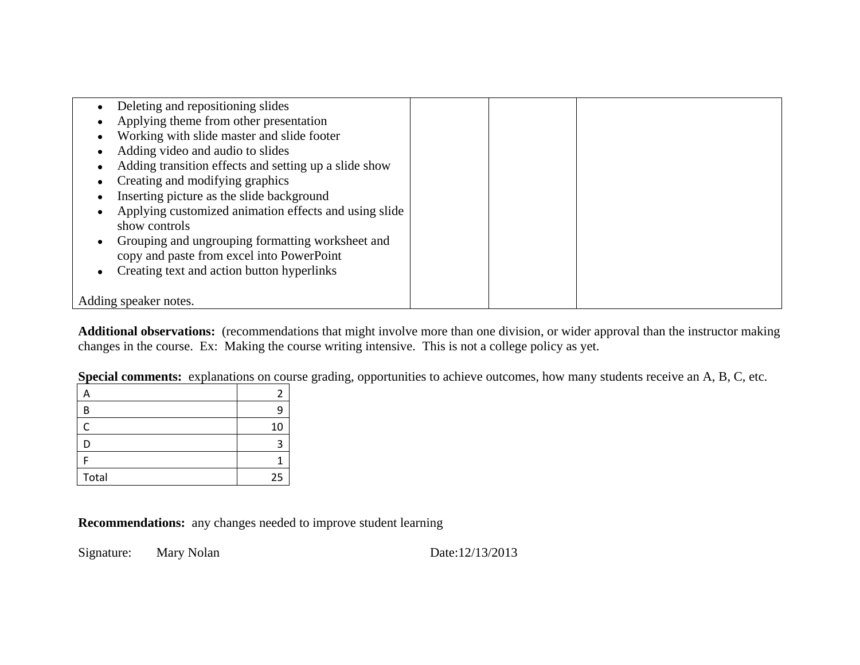| Deleting and repositioning slides                     |  |  |
|-------------------------------------------------------|--|--|
| Applying theme from other presentation                |  |  |
| Working with slide master and slide footer            |  |  |
| Adding video and audio to slides                      |  |  |
| Adding transition effects and setting up a slide show |  |  |
| Creating and modifying graphics                       |  |  |
| Inserting picture as the slide background             |  |  |
| Applying customized animation effects and using slide |  |  |
| show controls                                         |  |  |
| Grouping and ungrouping formatting worksheet and      |  |  |
| copy and paste from excel into PowerPoint             |  |  |
| Creating text and action button hyperlinks            |  |  |
|                                                       |  |  |
| Adding speaker notes.                                 |  |  |
|                                                       |  |  |

**Additional observations:** (recommendations that might involve more than one division, or wider approval than the instructor making changes in the course. Ex: Making the course writing intensive. This is not a college policy as yet.

**Special comments:** explanations on course grading, opportunities to achieve outcomes, how many students receive an A, B, C, etc.

| ∽     |    |
|-------|----|
| B     |    |
| C     | 10 |
| D     |    |
|       |    |
| Total | 25 |

**Recommendations:** any changes needed to improve student learning

Signature: Mary Nolan Date:12/13/2013